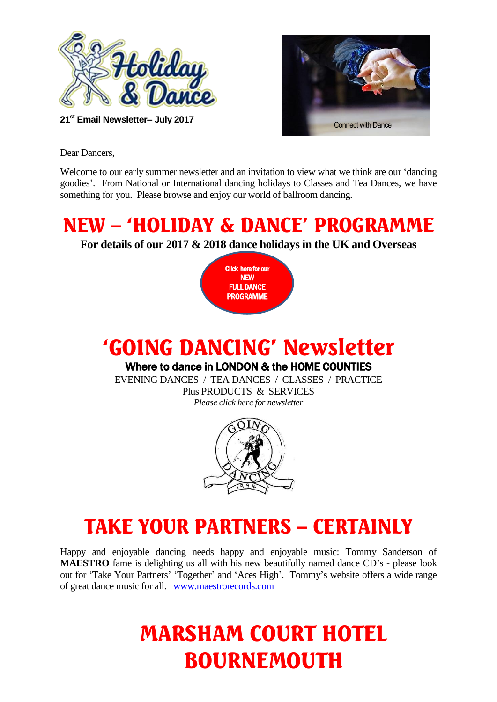



Dear Dancers,

Welcome to our early summer newsletter and an invitation to view what we think are our 'dancing goodies'. From National or International dancing holidays to Classes and Tea Dances, we have something for you. Please browse and enjoy our world of ballroom dancing.

### NEW – 'HOLIDAY & DANCE' PROGRAMME

**For details of our 2017 & 2018 dance holidays in the UK and Overseas**

Click here for our NEW FULL DANCE PROGRAMME

## 'GOING DANCING' Newsletter

#### Where to dance in LONDON & the HOME COUNTIES

EVENING DANCES / TEA DANCES / CLASSES / PRACTICE Plus PRODUCTS & SERVICES *Please click here for newsletter* 



### TAKE YOUR PARTNERS – CERTAINLY

Happy and enjoyable dancing needs happy and enjoyable music: Tommy Sanderson of **MAESTRO** fame is delighting us all with his new beautifully named dance CD's - please look out for 'Take Your Partners' 'Together' and 'Aces High'. Tommy's website offers a wide range of great dance music for all. [www.maestrorecords.com](http://www.maestrorecords.com/) 

# MARSHAM COURT HOTEL BOURNEMOUTH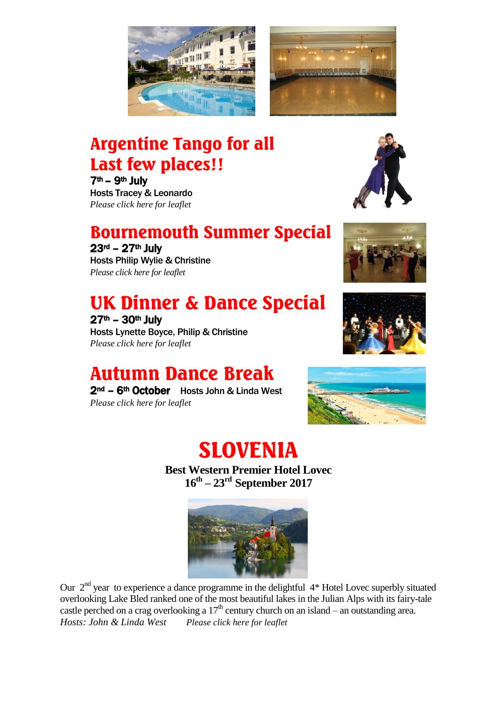



#### Argentine Tango for all Last few places!!

7th – 9th July Hosts Tracey & Leonardo *Please click here for leaflet*

#### Bournemouth Summer Special

23rd – 27th July

Hosts Philip Wylie & Christine *Please click here for leaflet*

## UK Dinner & Dance Special

 $27<sup>th</sup> - 30<sup>th</sup>$  July Hosts Lynette Boyce, Philip & Christine *Please click here for leaflet*

### Autumn Dance Break

2<sup>nd</sup> – 6<sup>th</sup> October Hosts John & Linda West *Please click here for leaflet*









# SLOVENIA

**Best Western Premier Hotel Lovec 16th – 23rd September 2017**



Our 2<sup>nd</sup> year to experience a dance programme in the delightful 4\* Hotel Lovec superbly situated overlooking Lake Bled ranked one of the most beautiful lakes in the Julian Alps with its fairy-tale castle perched on a crag overlooking a  $17<sup>th</sup>$  century church on an island – an outstanding area. *Hosts: John & Linda West Please click here for leaflet*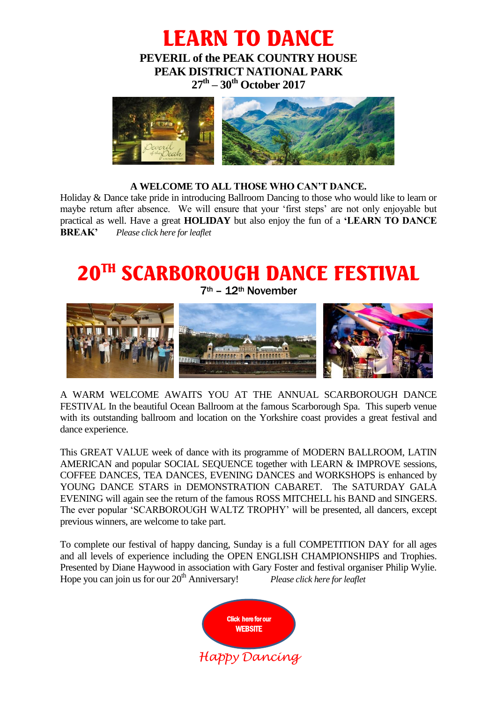LEARN TO DANCE **PEVERIL of the PEAK COUNTRY HOUSE PEAK DISTRICT NATIONAL PARK 27th – 30th October 2017**



#### **A WELCOME TO ALL THOSE WHO CAN'T DANCE.**

Holiday & Dance take pride in introducing Ballroom Dancing to those who would like to learn or maybe return after absence. We will ensure that your 'first steps' are not only enjoyable but practical as well. Have a great **HOLIDAY** but also enjoy the fun of a **'LEARN TO DANCE BREAK'** *Please click here for leaflet*

# 20TH SCARBOROUGH DANCE FESTIVAL

7th – 12th November



A WARM WELCOME AWAITS YOU AT THE ANNUAL SCARBOROUGH DANCE FESTIVAL In the beautiful Ocean Ballroom at the famous Scarborough Spa. This superb venue with its outstanding ballroom and location on the Yorkshire coast provides a great festival and dance experience.

This GREAT VALUE week of dance with its programme of MODERN BALLROOM, LATIN AMERICAN and popular SOCIAL SEQUENCE together with LEARN & IMPROVE sessions, COFFEE DANCES, TEA DANCES, EVENING DANCES and WORKSHOPS is enhanced by YOUNG DANCE STARS in DEMONSTRATION CABARET. The SATURDAY GALA EVENING will again see the return of the famous ROSS MITCHELL his BAND and SINGERS. The ever popular 'SCARBOROUGH WALTZ TROPHY' will be presented, all dancers, except previous winners, are welcome to take part.

To complete our festival of happy dancing, Sunday is a full COMPETITION DAY for all ages and all levels of experience including the OPEN ENGLISH CHAMPIONSHIPS and Trophies. Presented by Diane Haywood in association with Gary Foster and festival organiser Philip Wylie. Hope you can join us for our 20<sup>th</sup> Anniversary! *Please click here for leaflet*